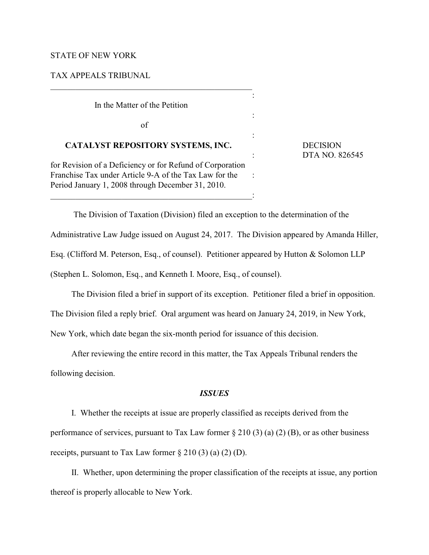## STATE OF NEW YORK

## TAX APPEALS TRIBUNAL

In the Matter of the Petition

of

# **CATALYST REPOSITORY SYSTEMS, INC.** DECISION

for Revision of a Deficiency or for Refund of Corporation Franchise Tax under Article 9-A of the Tax Law for the : Period January 1, 2008 through December 31, 2010.

: DTA NO. 826545

The Division of Taxation (Division) filed an exception to the determination of the

:

Administrative Law Judge issued on August 24, 2017. The Division appeared by Amanda Hiller,

:

:

Esq. (Clifford M. Peterson, Esq., of counsel). Petitioner appeared by Hutton & Solomon LLP

(Stephen L. Solomon, Esq., and Kenneth I. Moore, Esq., of counsel).

 $\overline{\phantom{a}}$  ,  $\overline{\phantom{a}}$  ,  $\overline{\phantom{a}}$  ,  $\overline{\phantom{a}}$  ,  $\overline{\phantom{a}}$  ,  $\overline{\phantom{a}}$  ,  $\overline{\phantom{a}}$  ,  $\overline{\phantom{a}}$  ,  $\overline{\phantom{a}}$  ,  $\overline{\phantom{a}}$  ,  $\overline{\phantom{a}}$  ,  $\overline{\phantom{a}}$  ,  $\overline{\phantom{a}}$  ,  $\overline{\phantom{a}}$  ,  $\overline{\phantom{a}}$  ,  $\overline{\phantom{a}}$ 

The Division filed a brief in support of its exception. Petitioner filed a brief in opposition.

The Division filed a reply brief. Oral argument was heard on January 24, 2019, in New York,

New York, which date began the six-month period for issuance of this decision.

After reviewing the entire record in this matter, the Tax Appeals Tribunal renders the following decision.

### *ISSUES*

I. Whether the receipts at issue are properly classified as receipts derived from the performance of services, pursuant to Tax Law former  $\S 210(3)(a)(2)(B)$ , or as other business receipts, pursuant to Tax Law former  $\S 210(3)(a)(2)(D)$ .

II. Whether, upon determining the proper classification of the receipts at issue, any portion thereof is properly allocable to New York.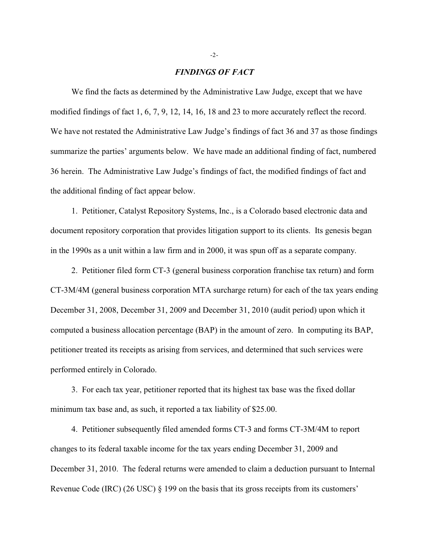#### *FINDINGS OF FACT*

We find the facts as determined by the Administrative Law Judge, except that we have modified findings of fact 1, 6, 7, 9, 12, 14, 16, 18 and 23 to more accurately reflect the record. We have not restated the Administrative Law Judge's findings of fact 36 and 37 as those findings summarize the parties' arguments below. We have made an additional finding of fact, numbered 36 herein. The Administrative Law Judge's findings of fact, the modified findings of fact and the additional finding of fact appear below.

1. Petitioner, Catalyst Repository Systems, Inc., is a Colorado based electronic data and document repository corporation that provides litigation support to its clients. Its genesis began in the 1990s as a unit within a law firm and in 2000, it was spun off as a separate company.

2. Petitioner filed form CT-3 (general business corporation franchise tax return) and form CT-3M/4M (general business corporation MTA surcharge return) for each of the tax years ending December 31, 2008, December 31, 2009 and December 31, 2010 (audit period) upon which it computed a business allocation percentage (BAP) in the amount of zero. In computing its BAP, petitioner treated its receipts as arising from services, and determined that such services were performed entirely in Colorado.

3. For each tax year, petitioner reported that its highest tax base was the fixed dollar minimum tax base and, as such, it reported a tax liability of \$25.00.

4. Petitioner subsequently filed amended forms CT-3 and forms CT-3M/4M to report changes to its federal taxable income for the tax years ending December 31, 2009 and December 31, 2010. The federal returns were amended to claim a deduction pursuant to Internal Revenue Code (IRC) (26 USC) § 199 on the basis that its gross receipts from its customers'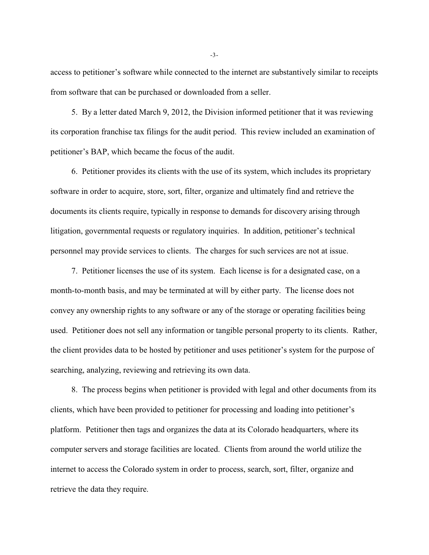access to petitioner's software while connected to the internet are substantively similar to receipts from software that can be purchased or downloaded from a seller.

5. By a letter dated March 9, 2012, the Division informed petitioner that it was reviewing its corporation franchise tax filings for the audit period. This review included an examination of petitioner's BAP, which became the focus of the audit.

6. Petitioner provides its clients with the use of its system, which includes its proprietary software in order to acquire, store, sort, filter, organize and ultimately find and retrieve the documents its clients require, typically in response to demands for discovery arising through litigation, governmental requests or regulatory inquiries. In addition, petitioner's technical personnel may provide services to clients. The charges for such services are not at issue.

7. Petitioner licenses the use of its system. Each license is for a designated case, on a month-to-month basis, and may be terminated at will by either party. The license does not convey any ownership rights to any software or any of the storage or operating facilities being used. Petitioner does not sell any information or tangible personal property to its clients. Rather, the client provides data to be hosted by petitioner and uses petitioner's system for the purpose of searching, analyzing, reviewing and retrieving its own data.

8. The process begins when petitioner is provided with legal and other documents from its clients, which have been provided to petitioner for processing and loading into petitioner's platform. Petitioner then tags and organizes the data at its Colorado headquarters, where its computer servers and storage facilities are located. Clients from around the world utilize the internet to access the Colorado system in order to process, search, sort, filter, organize and retrieve the data they require.

-3-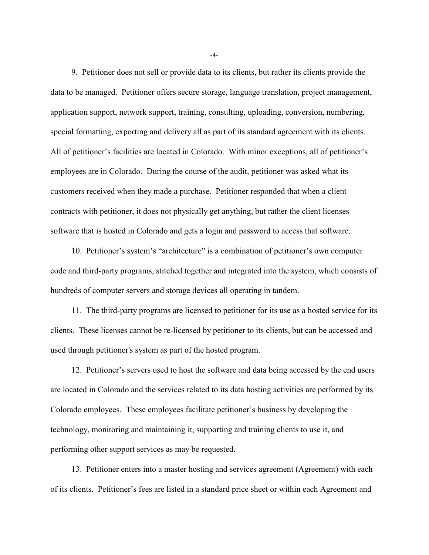9. Petitioner does not sell or provide data to its clients, but rather its clients provide the data to be managed. Petitioner offers secure storage, language translation, project management, application support, network support, training, consulting, uploading, conversion, numbering, special formatting, exporting and delivery all as part of its standard agreement with its clients. All of petitioner's facilities are located in Colorado. With minor exceptions, all of petitioner's employees are in Colorado. During the course of the audit, petitioner was asked what its customers received when they made a purchase. Petitioner responded that when a client contracts with petitioner, it does not physically get anything, but rather the client licenses software that is hosted in Colorado and gets a login and password to access that software.

10. Petitioner's system's "architecture" is a combination of petitioner's own computer code and third-party programs, stitched together and integrated into the system, which consists of hundreds of computer servers and storage devices all operating in tandem.

11. The third-party programs are licensed to petitioner for its use as a hosted service for its clients. These licenses cannot be re-licensed by petitioner to its clients, but can be accessed and used through petitioner's system as part of the hosted program.

12. Petitioner's servers used to host the software and data being accessed by the end users are located in Colorado and the services related to its data hosting activities are performed by its Colorado employees. These employees facilitate petitioner's business by developing the technology, monitoring and maintaining it, supporting and training clients to use it, and performing other support services as may be requested.

13. Petitioner enters into a master hosting and services agreement (Agreement) with each of its clients. Petitioner's fees are listed in a standard price sheet or within each Agreement and

-4-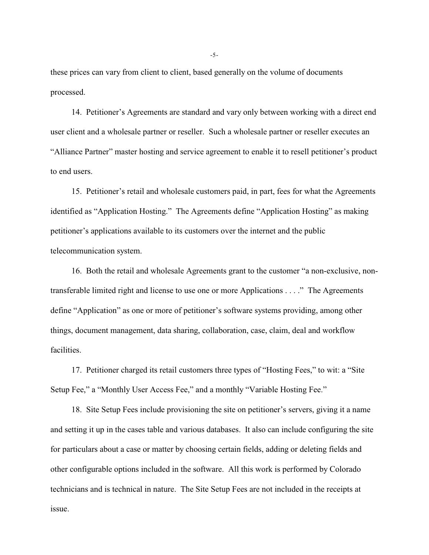these prices can vary from client to client, based generally on the volume of documents processed.

14. Petitioner's Agreements are standard and vary only between working with a direct end user client and a wholesale partner or reseller. Such a wholesale partner or reseller executes an "Alliance Partner" master hosting and service agreement to enable it to resell petitioner's product to end users.

15. Petitioner's retail and wholesale customers paid, in part, fees for what the Agreements identified as "Application Hosting." The Agreements define "Application Hosting" as making petitioner's applications available to its customers over the internet and the public telecommunication system.

16. Both the retail and wholesale Agreements grant to the customer "a non-exclusive, nontransferable limited right and license to use one or more Applications . . . ." The Agreements define "Application" as one or more of petitioner's software systems providing, among other things, document management, data sharing, collaboration, case, claim, deal and workflow facilities.

17. Petitioner charged its retail customers three types of "Hosting Fees," to wit: a "Site Setup Fee," a "Monthly User Access Fee," and a monthly "Variable Hosting Fee."

18. Site Setup Fees include provisioning the site on petitioner's servers, giving it a name and setting it up in the cases table and various databases. It also can include configuring the site for particulars about a case or matter by choosing certain fields, adding or deleting fields and other configurable options included in the software. All this work is performed by Colorado technicians and is technical in nature. The Site Setup Fees are not included in the receipts at issue.

-5-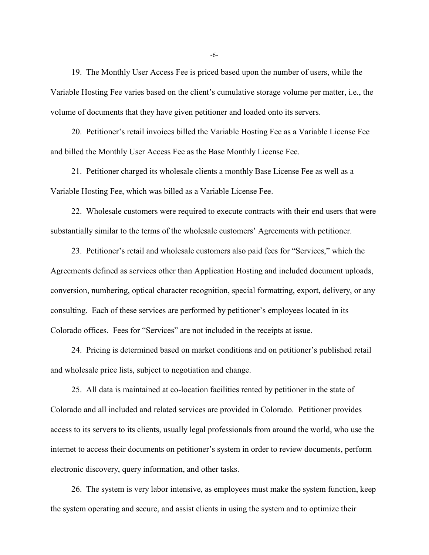19. The Monthly User Access Fee is priced based upon the number of users, while the Variable Hosting Fee varies based on the client's cumulative storage volume per matter, i.e., the volume of documents that they have given petitioner and loaded onto its servers.

20. Petitioner's retail invoices billed the Variable Hosting Fee as a Variable License Fee and billed the Monthly User Access Fee as the Base Monthly License Fee.

21. Petitioner charged its wholesale clients a monthly Base License Fee as well as a Variable Hosting Fee, which was billed as a Variable License Fee.

22. Wholesale customers were required to execute contracts with their end users that were substantially similar to the terms of the wholesale customers' Agreements with petitioner.

23. Petitioner's retail and wholesale customers also paid fees for "Services," which the Agreements defined as services other than Application Hosting and included document uploads, conversion, numbering, optical character recognition, special formatting, export, delivery, or any consulting. Each of these services are performed by petitioner's employees located in its Colorado offices. Fees for "Services" are not included in the receipts at issue.

24. Pricing is determined based on market conditions and on petitioner's published retail and wholesale price lists, subject to negotiation and change.

25. All data is maintained at co-location facilities rented by petitioner in the state of Colorado and all included and related services are provided in Colorado. Petitioner provides access to its servers to its clients, usually legal professionals from around the world, who use the internet to access their documents on petitioner's system in order to review documents, perform electronic discovery, query information, and other tasks.

26. The system is very labor intensive, as employees must make the system function, keep the system operating and secure, and assist clients in using the system and to optimize their

-6-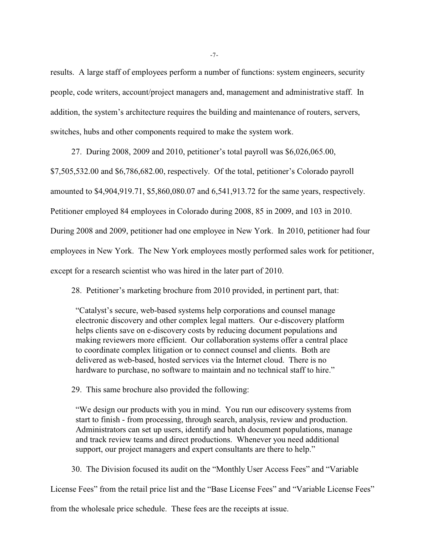results. A large staff of employees perform a number of functions: system engineers, security people, code writers, account/project managers and, management and administrative staff. In addition, the system's architecture requires the building and maintenance of routers, servers, switches, hubs and other components required to make the system work.

27. During 2008, 2009 and 2010, petitioner's total payroll was \$6,026,065.00,

\$7,505,532.00 and \$6,786,682.00, respectively. Of the total, petitioner's Colorado payroll

amounted to \$4,904,919.71, \$5,860,080.07 and 6,541,913.72 for the same years, respectively.

Petitioner employed 84 employees in Colorado during 2008, 85 in 2009, and 103 in 2010.

During 2008 and 2009, petitioner had one employee in New York. In 2010, petitioner had four

employees in New York. The New York employees mostly performed sales work for petitioner,

except for a research scientist who was hired in the later part of 2010.

28. Petitioner's marketing brochure from 2010 provided, in pertinent part, that:

"Catalyst's secure, web-based systems help corporations and counsel manage electronic discovery and other complex legal matters. Our e-discovery platform helps clients save on e-discovery costs by reducing document populations and making reviewers more efficient. Our collaboration systems offer a central place to coordinate complex litigation or to connect counsel and clients. Both are delivered as web-based, hosted services via the Internet cloud. There is no hardware to purchase, no software to maintain and no technical staff to hire."

29. This same brochure also provided the following:

"We design our products with you in mind. You run our ediscovery systems from start to finish - from processing, through search, analysis, review and production. Administrators can set up users, identify and batch document populations, manage and track review teams and direct productions. Whenever you need additional support, our project managers and expert consultants are there to help."

30. The Division focused its audit on the "Monthly User Access Fees" and "Variable

License Fees" from the retail price list and the "Base License Fees" and "Variable License Fees"

from the wholesale price schedule. These fees are the receipts at issue.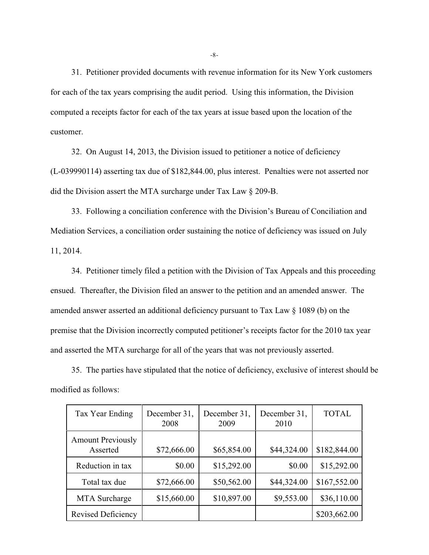31. Petitioner provided documents with revenue information for its New York customers for each of the tax years comprising the audit period. Using this information, the Division computed a receipts factor for each of the tax years at issue based upon the location of the customer.

32. On August 14, 2013, the Division issued to petitioner a notice of deficiency (L-039990114) asserting tax due of \$182,844.00, plus interest. Penalties were not asserted nor did the Division assert the MTA surcharge under Tax Law § 209-B.

33. Following a conciliation conference with the Division's Bureau of Conciliation and Mediation Services, a conciliation order sustaining the notice of deficiency was issued on July 11, 2014.

34. Petitioner timely filed a petition with the Division of Tax Appeals and this proceeding ensued. Thereafter, the Division filed an answer to the petition and an amended answer. The amended answer asserted an additional deficiency pursuant to Tax Law § 1089 (b) on the premise that the Division incorrectly computed petitioner's receipts factor for the 2010 tax year and asserted the MTA surcharge for all of the years that was not previously asserted.

35. The parties have stipulated that the notice of deficiency, exclusive of interest should be modified as follows:

| Tax Year Ending                      | December 31,<br>2008 | December 31,<br>2009 | December 31,<br>2010 | <b>TOTAL</b> |
|--------------------------------------|----------------------|----------------------|----------------------|--------------|
| <b>Amount Previously</b><br>Asserted | \$72,666.00          | \$65,854.00          | \$44,324.00          | \$182,844.00 |
| Reduction in tax                     | \$0.00               | \$15,292.00          | \$0.00               | \$15,292.00  |
| Total tax due                        | \$72,666.00          | \$50,562.00          | \$44,324.00          | \$167,552.00 |
| MTA Surcharge                        | \$15,660.00          | \$10,897.00          | \$9,553.00           | \$36,110.00  |
| <b>Revised Deficiency</b>            |                      |                      |                      | \$203,662.00 |

-8-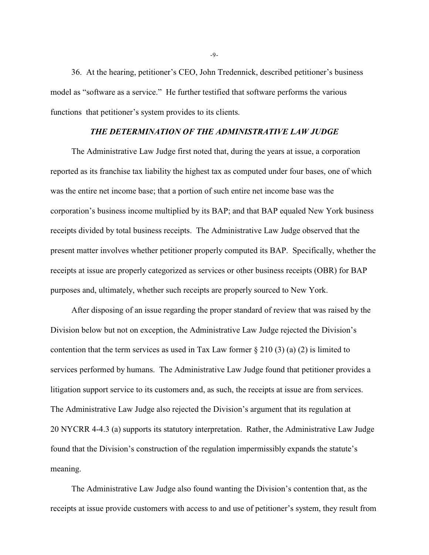36. At the hearing, petitioner's CEO, John Tredennick, described petitioner's business model as "software as a service." He further testified that software performs the various functions that petitioner's system provides to its clients.

## *THE DETERMINATION OF THE ADMINISTRATIVE LAW JUDGE*

The Administrative Law Judge first noted that, during the years at issue, a corporation reported as its franchise tax liability the highest tax as computed under four bases, one of which was the entire net income base; that a portion of such entire net income base was the corporation's business income multiplied by its BAP; and that BAP equaled New York business receipts divided by total business receipts. The Administrative Law Judge observed that the present matter involves whether petitioner properly computed its BAP. Specifically, whether the receipts at issue are properly categorized as services or other business receipts (OBR) for BAP purposes and, ultimately, whether such receipts are properly sourced to New York.

After disposing of an issue regarding the proper standard of review that was raised by the Division below but not on exception, the Administrative Law Judge rejected the Division's contention that the term services as used in Tax Law former  $\S 210(3)$  (a) (2) is limited to services performed by humans. The Administrative Law Judge found that petitioner provides a litigation support service to its customers and, as such, the receipts at issue are from services. The Administrative Law Judge also rejected the Division's argument that its regulation at 20 NYCRR 4-4.3 (a) supports its statutory interpretation. Rather, the Administrative Law Judge found that the Division's construction of the regulation impermissibly expands the statute's meaning.

The Administrative Law Judge also found wanting the Division's contention that, as the receipts at issue provide customers with access to and use of petitioner's system, they result from

-9-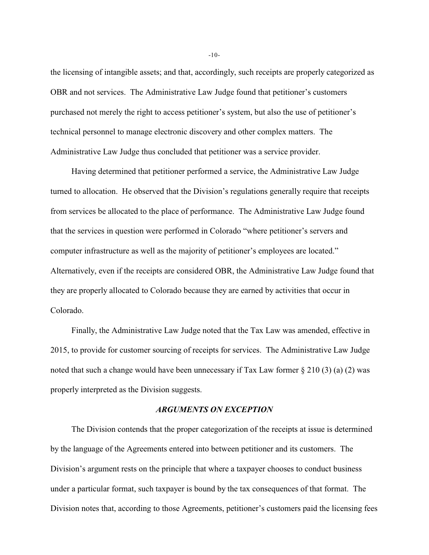the licensing of intangible assets; and that, accordingly, such receipts are properly categorized as OBR and not services. The Administrative Law Judge found that petitioner's customers purchased not merely the right to access petitioner's system, but also the use of petitioner's technical personnel to manage electronic discovery and other complex matters. The Administrative Law Judge thus concluded that petitioner was a service provider.

Having determined that petitioner performed a service, the Administrative Law Judge turned to allocation. He observed that the Division's regulations generally require that receipts from services be allocated to the place of performance. The Administrative Law Judge found that the services in question were performed in Colorado "where petitioner's servers and computer infrastructure as well as the majority of petitioner's employees are located." Alternatively, even if the receipts are considered OBR, the Administrative Law Judge found that they are properly allocated to Colorado because they are earned by activities that occur in Colorado.

Finally, the Administrative Law Judge noted that the Tax Law was amended, effective in 2015, to provide for customer sourcing of receipts for services. The Administrative Law Judge noted that such a change would have been unnecessary if Tax Law former § 210 (3) (a) (2) was properly interpreted as the Division suggests.

## *ARGUMENTS ON EXCEPTION*

The Division contends that the proper categorization of the receipts at issue is determined by the language of the Agreements entered into between petitioner and its customers. The Division's argument rests on the principle that where a taxpayer chooses to conduct business under a particular format, such taxpayer is bound by the tax consequences of that format. The Division notes that, according to those Agreements, petitioner's customers paid the licensing fees

-10-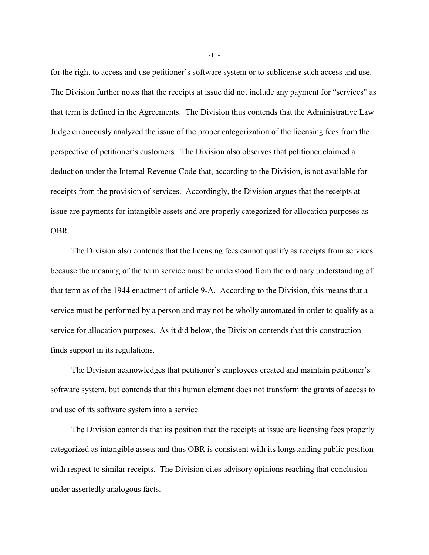for the right to access and use petitioner's software system or to sublicense such access and use. The Division further notes that the receipts at issue did not include any payment for "services" as that term is defined in the Agreements. The Division thus contends that the Administrative Law Judge erroneously analyzed the issue of the proper categorization of the licensing fees from the perspective of petitioner's customers. The Division also observes that petitioner claimed a deduction under the Internal Revenue Code that, according to the Division, is not available for receipts from the provision of services. Accordingly, the Division argues that the receipts at issue are payments for intangible assets and are properly categorized for allocation purposes as OBR.

The Division also contends that the licensing fees cannot qualify as receipts from services because the meaning of the term service must be understood from the ordinary understanding of that term as of the 1944 enactment of article 9-A. According to the Division, this means that a service must be performed by a person and may not be wholly automated in order to qualify as a service for allocation purposes. As it did below, the Division contends that this construction finds support in its regulations.

The Division acknowledges that petitioner's employees created and maintain petitioner's software system, but contends that this human element does not transform the grants of access to and use of its software system into a service.

The Division contends that its position that the receipts at issue are licensing fees properly categorized as intangible assets and thus OBR is consistent with its longstanding public position with respect to similar receipts. The Division cites advisory opinions reaching that conclusion under assertedly analogous facts.

-11-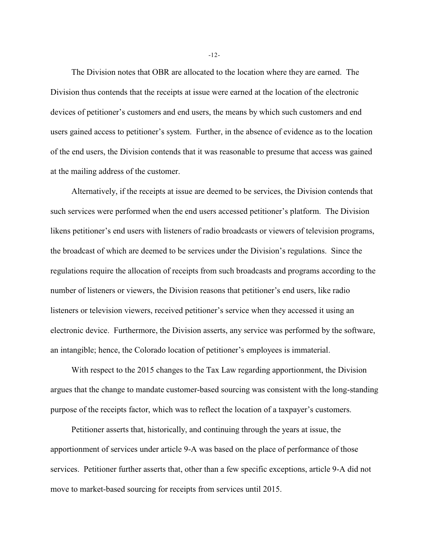The Division notes that OBR are allocated to the location where they are earned. The Division thus contends that the receipts at issue were earned at the location of the electronic devices of petitioner's customers and end users, the means by which such customers and end users gained access to petitioner's system. Further, in the absence of evidence as to the location of the end users, the Division contends that it was reasonable to presume that access was gained at the mailing address of the customer.

Alternatively, if the receipts at issue are deemed to be services, the Division contends that such services were performed when the end users accessed petitioner's platform. The Division likens petitioner's end users with listeners of radio broadcasts or viewers of television programs, the broadcast of which are deemed to be services under the Division's regulations. Since the regulations require the allocation of receipts from such broadcasts and programs according to the number of listeners or viewers, the Division reasons that petitioner's end users, like radio listeners or television viewers, received petitioner's service when they accessed it using an electronic device. Furthermore, the Division asserts, any service was performed by the software, an intangible; hence, the Colorado location of petitioner's employees is immaterial.

With respect to the 2015 changes to the Tax Law regarding apportionment, the Division argues that the change to mandate customer-based sourcing was consistent with the long-standing purpose of the receipts factor, which was to reflect the location of a taxpayer's customers.

Petitioner asserts that, historically, and continuing through the years at issue, the apportionment of services under article 9-A was based on the place of performance of those services. Petitioner further asserts that, other than a few specific exceptions, article 9-A did not move to market-based sourcing for receipts from services until 2015.

-12-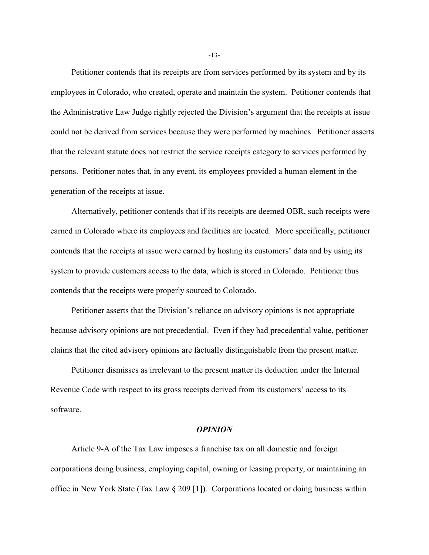Petitioner contends that its receipts are from services performed by its system and by its employees in Colorado, who created, operate and maintain the system. Petitioner contends that the Administrative Law Judge rightly rejected the Division's argument that the receipts at issue could not be derived from services because they were performed by machines. Petitioner asserts that the relevant statute does not restrict the service receipts category to services performed by persons. Petitioner notes that, in any event, its employees provided a human element in the generation of the receipts at issue.

Alternatively, petitioner contends that if its receipts are deemed OBR, such receipts were earned in Colorado where its employees and facilities are located. More specifically, petitioner contends that the receipts at issue were earned by hosting its customers' data and by using its system to provide customers access to the data, which is stored in Colorado. Petitioner thus contends that the receipts were properly sourced to Colorado.

Petitioner asserts that the Division's reliance on advisory opinions is not appropriate because advisory opinions are not precedential. Even if they had precedential value, petitioner claims that the cited advisory opinions are factually distinguishable from the present matter.

Petitioner dismisses as irrelevant to the present matter its deduction under the Internal Revenue Code with respect to its gross receipts derived from its customers' access to its software.

### *OPINION*

Article 9-A of the Tax Law imposes a franchise tax on all domestic and foreign corporations doing business, employing capital, owning or leasing property, or maintaining an office in New York State (Tax Law § 209 [1]). Corporations located or doing business within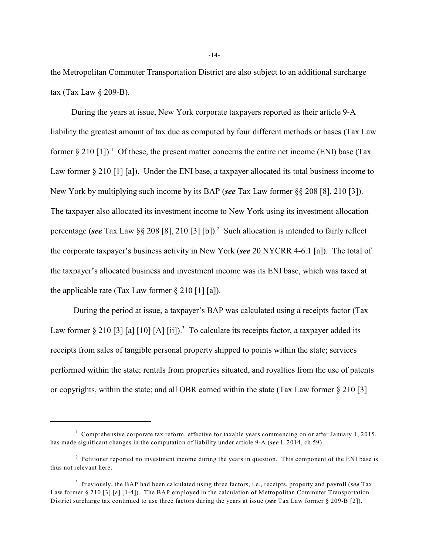the Metropolitan Commuter Transportation District are also subject to an additional surcharge tax (Tax Law § 209-B).

During the years at issue, New York corporate taxpayers reported as their article 9-A liability the greatest amount of tax due as computed by four different methods or bases (Tax Law former  $\S 210$  [1]).<sup>1</sup> Of these, the present matter concerns the entire net income (ENI) base (Tax Law former § 210 [1] [a]). Under the ENI base, a taxpayer allocated its total business income to New York by multiplying such income by its BAP (*see* Tax Law former §§ 208 [8], 210 [3]). The taxpayer also allocated its investment income to New York using its investment allocation percentage (see Tax Law  $\S$ § 208 [8], 210 [3] [b]).<sup>2</sup> Such allocation is intended to fairly reflect the corporate taxpayer's business activity in New York (*see* 20 NYCRR 4-6.1 [a]). The total of the taxpayer's allocated business and investment income was its ENI base, which was taxed at the applicable rate (Tax Law former  $\S 210$  [1] [a]).

 During the period at issue, a taxpayer's BAP was calculated using a receipts factor (Tax Law former  $\S 210$  [3] [a] [10] [A] [ii]).<sup>3</sup> To calculate its receipts factor, a taxpayer added its receipts from sales of tangible personal property shipped to points within the state; services performed within the state; rentals from properties situated, and royalties from the use of patents or copyrights, within the state; and all OBR earned within the state (Tax Law former § 210 [3]

-14-

<sup>&</sup>lt;sup>1</sup> Comprehensive corporate tax reform, effective for taxable years commencing on or after January 1, 2015, has made significant changes in the computation of liability under article 9-A (*see* L 2014, ch 59).

 $2$  Petitioner reported no investment income during the years in question. This component of the ENI base is thus not relevant here.

Previously, the BAP had been calculated using three factors, i.e., receipts, property and payroll (*see* Tax <sup>3</sup> Law former § 210 [3] [a] [1-4]). The BAP employed in the calculation of Metropolitan Commuter Transportation District surcharge tax continued to use three factors during the years at issue (*see* Tax Law former § 209-B [2]).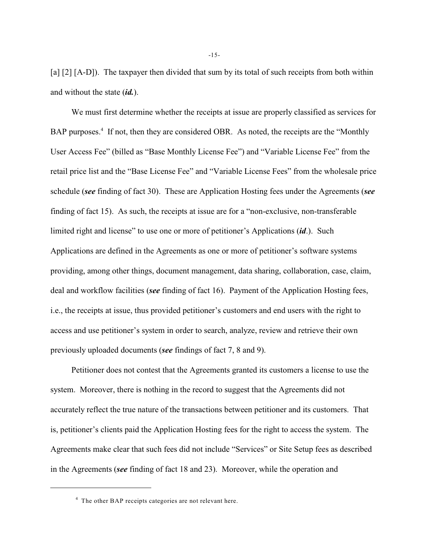[a] [2] [A-D]). The taxpayer then divided that sum by its total of such receipts from both within and without the state (*id.*).

We must first determine whether the receipts at issue are properly classified as services for BAP purposes.<sup>4</sup> If not, then they are considered OBR. As noted, the receipts are the "Monthly" User Access Fee" (billed as "Base Monthly License Fee") and "Variable License Fee" from the retail price list and the "Base License Fee" and "Variable License Fees" from the wholesale price schedule (*see* finding of fact 30). These are Application Hosting fees under the Agreements (*see* finding of fact 15). As such, the receipts at issue are for a "non-exclusive, non-transferable limited right and license" to use one or more of petitioner's Applications (*id*.). Such Applications are defined in the Agreements as one or more of petitioner's software systems providing, among other things, document management, data sharing, collaboration, case, claim, deal and workflow facilities (*see* finding of fact 16). Payment of the Application Hosting fees, i.e., the receipts at issue, thus provided petitioner's customers and end users with the right to access and use petitioner's system in order to search, analyze, review and retrieve their own previously uploaded documents (*see* findings of fact 7, 8 and 9).

Petitioner does not contest that the Agreements granted its customers a license to use the system. Moreover, there is nothing in the record to suggest that the Agreements did not accurately reflect the true nature of the transactions between petitioner and its customers. That is, petitioner's clients paid the Application Hosting fees for the right to access the system. The Agreements make clear that such fees did not include "Services" or Site Setup fees as described in the Agreements (*see* finding of fact 18 and 23). Moreover, while the operation and

 $4$  The other BAP receipts categories are not relevant here.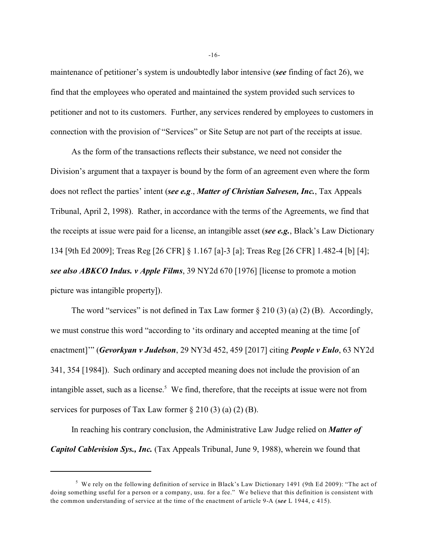maintenance of petitioner's system is undoubtedly labor intensive (*see* finding of fact 26), we find that the employees who operated and maintained the system provided such services to petitioner and not to its customers. Further, any services rendered by employees to customers in connection with the provision of "Services" or Site Setup are not part of the receipts at issue.

As the form of the transactions reflects their substance, we need not consider the Division's argument that a taxpayer is bound by the form of an agreement even where the form does not reflect the parties' intent (*see e.g*., *Matter of Christian Salvesen, Inc.*, Tax Appeals Tribunal, April 2, 1998). Rather, in accordance with the terms of the Agreements, we find that the receipts at issue were paid for a license, an intangible asset (*see e.g.*, Black's Law Dictionary 134 [9th Ed 2009]; Treas Reg [26 CFR] § 1.167 [a]-3 [a]; Treas Reg [26 CFR] 1.482-4 [b] [4]; *see also ABKCO Indus. v Apple Films*, 39 NY2d 670 [1976] [license to promote a motion picture was intangible property]).

The word "services" is not defined in Tax Law former  $\S 210(3)(a)(2)$  (B). Accordingly, we must construe this word "according to 'its ordinary and accepted meaning at the time [of enactment]'" (*Gevorkyan v Judelson*, 29 NY3d 452, 459 [2017] citing *People v Eulo*, 63 NY2d 341, 354 [1984]). Such ordinary and accepted meaning does not include the provision of an intangible asset, such as a license.<sup>5</sup> We find, therefore, that the receipts at issue were not from services for purposes of Tax Law former  $\S 210(3)(a)(2)(B)$ .

In reaching his contrary conclusion, the Administrative Law Judge relied on *Matter of Capitol Cablevision Sys., Inc.* (Tax Appeals Tribunal, June 9, 1988), wherein we found that

-16-

 $5$  We rely on the following definition of service in Black's Law Dictionary 1491 (9th Ed 2009): "The act of doing something useful for a person or a company, usu. for a fee." We believe that this definition is consistent with the common understanding of service at the time of the enactment of article 9-A (*see* L 1944, c 415).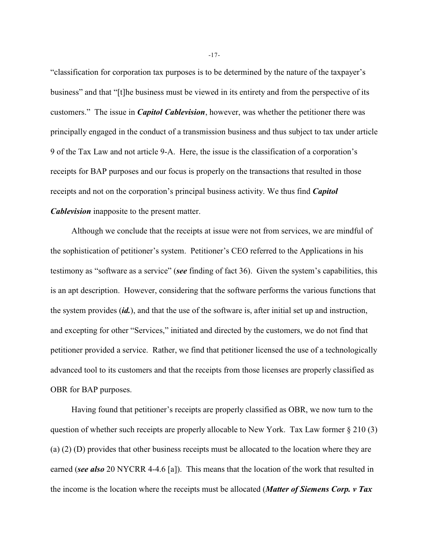"classification for corporation tax purposes is to be determined by the nature of the taxpayer's business" and that "[t]he business must be viewed in its entirety and from the perspective of its customers." The issue in *Capitol Cablevision*, however, was whether the petitioner there was principally engaged in the conduct of a transmission business and thus subject to tax under article 9 of the Tax Law and not article 9-A. Here, the issue is the classification of a corporation's receipts for BAP purposes and our focus is properly on the transactions that resulted in those receipts and not on the corporation's principal business activity. We thus find *Capitol Cablevision* inapposite to the present matter.

Although we conclude that the receipts at issue were not from services, we are mindful of the sophistication of petitioner's system. Petitioner's CEO referred to the Applications in his testimony as "software as a service" (*see* finding of fact 36). Given the system's capabilities, this is an apt description. However, considering that the software performs the various functions that the system provides (*id.*), and that the use of the software is, after initial set up and instruction, and excepting for other "Services," initiated and directed by the customers, we do not find that petitioner provided a service. Rather, we find that petitioner licensed the use of a technologically advanced tool to its customers and that the receipts from those licenses are properly classified as OBR for BAP purposes.

Having found that petitioner's receipts are properly classified as OBR, we now turn to the question of whether such receipts are properly allocable to New York. Tax Law former § 210 (3) (a) (2) (D) provides that other business receipts must be allocated to the location where they are earned (*see also* 20 NYCRR 4-4.6 [a]). This means that the location of the work that resulted in the income is the location where the receipts must be allocated (*Matter of Siemens Corp. v Tax*

-17-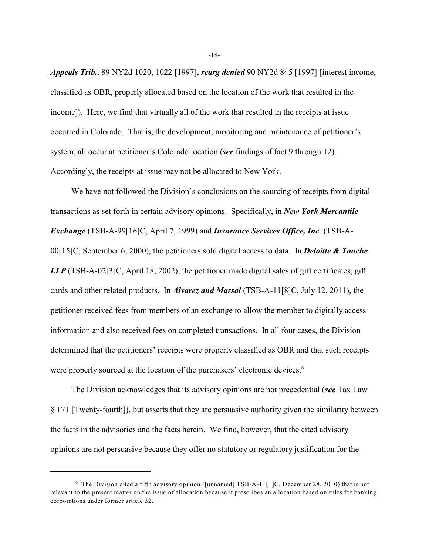*Appeals Trib.*, 89 NY2d 1020, 1022 [1997], *rearg denied* 90 NY2d 845 [1997] [interest income, classified as OBR, properly allocated based on the location of the work that resulted in the income]). Here, we find that virtually all of the work that resulted in the receipts at issue occurred in Colorado. That is, the development, monitoring and maintenance of petitioner's system, all occur at petitioner's Colorado location (*see* findings of fact 9 through 12). Accordingly, the receipts at issue may not be allocated to New York.

We have not followed the Division's conclusions on the sourcing of receipts from digital transactions as set forth in certain advisory opinions. Specifically, in *New York Mercantile Exchange* (TSB-A-99[16]C, April 7, 1999) and *Insurance Services Office, Inc*. (TSB-A-00[15]C, September 6, 2000), the petitioners sold digital access to data. In *Deloitte & Touche LLP* (TSB-A-02[3]C, April 18, 2002), the petitioner made digital sales of gift certificates, gift cards and other related products. In *Alvarez and Marsal* (TSB-A-11[8]C, July 12, 2011), the petitioner received fees from members of an exchange to allow the member to digitally access information and also received fees on completed transactions. In all four cases, the Division determined that the petitioners' receipts were properly classified as OBR and that such receipts were properly sourced at the location of the purchasers' electronic devices.<sup>6</sup>

The Division acknowledges that its advisory opinions are not precedential (*see* Tax Law § 171 [Twenty-fourth]), but asserts that they are persuasive authority given the similarity between the facts in the advisories and the facts herein. We find, however, that the cited advisory opinions are not persuasive because they offer no statutory or regulatory justification for the

-18-

 $6$  The Division cited a fifth advisory opinion ([unnamed] TSB-A-11[1]C, December 28, 2010) that is not relevant to the present matter on the issue of allocation because it prescribes an allocation based on rules for banking corporations under former article 32.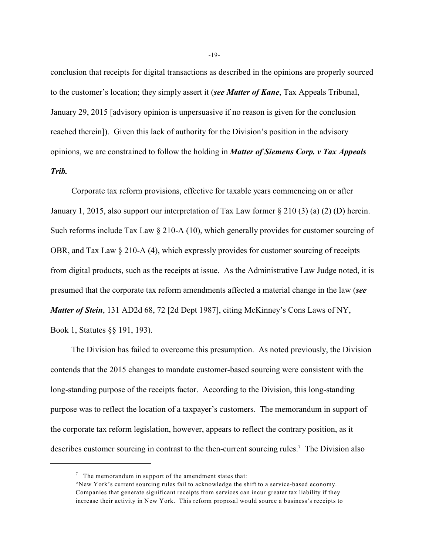conclusion that receipts for digital transactions as described in the opinions are properly sourced to the customer's location; they simply assert it (*see Matter of Kane*, Tax Appeals Tribunal, January 29, 2015 [advisory opinion is unpersuasive if no reason is given for the conclusion reached therein]). Given this lack of authority for the Division's position in the advisory opinions, we are constrained to follow the holding in *Matter of Siemens Corp. v Tax Appeals Trib.*

Corporate tax reform provisions, effective for taxable years commencing on or after January 1, 2015, also support our interpretation of Tax Law former § 210 (3) (a) (2) (D) herein. Such reforms include Tax Law § 210-A (10), which generally provides for customer sourcing of OBR, and Tax Law § 210-A (4), which expressly provides for customer sourcing of receipts from digital products, such as the receipts at issue. As the Administrative Law Judge noted, it is presumed that the corporate tax reform amendments affected a material change in the law (*see Matter of Stein*, 131 AD2d 68, 72 [2d Dept 1987], citing McKinney's Cons Laws of NY, Book 1, Statutes §§ 191, 193).

The Division has failed to overcome this presumption. As noted previously, the Division contends that the 2015 changes to mandate customer-based sourcing were consistent with the long-standing purpose of the receipts factor. According to the Division, this long-standing purpose was to reflect the location of a taxpayer's customers. The memorandum in support of the corporate tax reform legislation, however, appears to reflect the contrary position, as it describes customer sourcing in contrast to the then-current sourcing rules.<sup>7</sup> The Division also

 $\frac{7}{1}$  The memorandum in support of the amendment states that:

<sup>&</sup>quot;New York's current sourcing rules fail to acknowledge the shift to a service-based economy. Companies that generate significant receipts from services can incur greater tax liability if they increase their activity in New York. This reform proposal would source a business's receipts to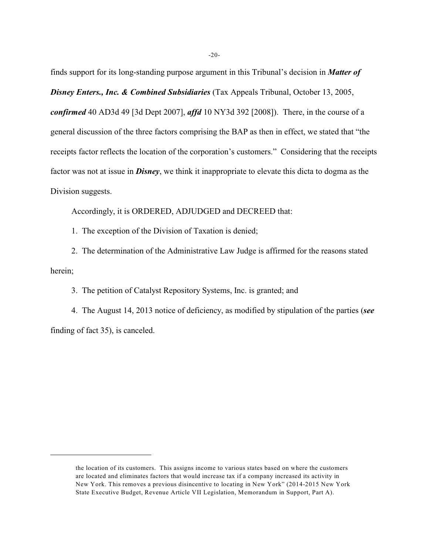finds support for its long-standing purpose argument in this Tribunal's decision in *Matter of Disney Enters., Inc. & Combined Subsidiaries* (Tax Appeals Tribunal, October 13, 2005, *confirmed* 40 AD3d 49 [3d Dept 2007], *affd* 10 NY3d 392 [2008]). There, in the course of a general discussion of the three factors comprising the BAP as then in effect, we stated that "the receipts factor reflects the location of the corporation's customers." Considering that the receipts factor was not at issue in *Disney*, we think it inappropriate to elevate this dicta to dogma as the Division suggests.

Accordingly, it is ORDERED, ADJUDGED and DECREED that:

1. The exception of the Division of Taxation is denied;

2. The determination of the Administrative Law Judge is affirmed for the reasons stated herein;

3. The petition of Catalyst Repository Systems, Inc. is granted; and

4. The August 14, 2013 notice of deficiency, as modified by stipulation of the parties (*see* finding of fact 35), is canceled.

the location of its customers. This assigns income to various states based on where the customers are located and eliminates factors that would increase tax if a company increased its activity in New York. This removes a previous disincentive to locating in New York" (2014-2015 New York State Executive Budget, Revenue Article VII Legislation, Memorandum in Support, Part A).